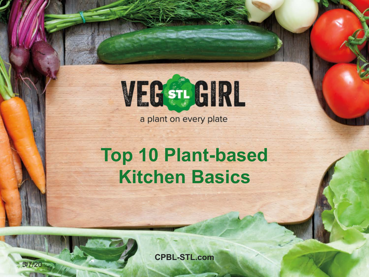

a plant on every plate

## **Top 10 Plant-based Kitchen Basics**

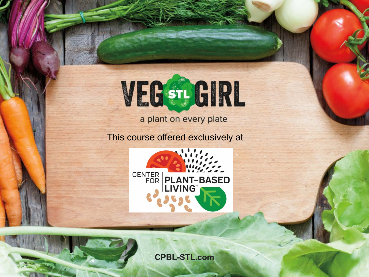

a plant on every plate

This course offered exclusively at



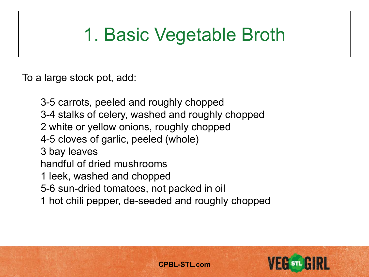## 1. Basic Vegetable Broth

To a large stock pot, add:

3-5 carrots, peeled and roughly chopped 3-4 stalks of celery, washed and roughly chopped 2 white or yellow onions, roughly chopped 4-5 cloves of garlic, peeled (whole) 3 bay leaves handful of dried mushrooms 1 leek, washed and chopped 5-6 sun-dried tomatoes, not packed in oil 1 hot chili pepper, de-seeded and roughly chopped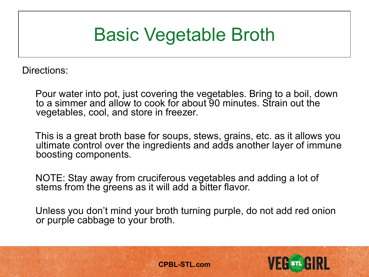### Basic Vegetable Broth

Directions:

Pour water into pot, just covering the vegetables. Bring to a boil, down to a simmer and allow to cook for about 90 minutes. Strain out the vegetables, cool, and store in freezer.

This is a great broth base for soups, stews, grains, etc. as it allows you ultimate control over the ingredients and adds another layer of immune boosting components.

NOTE: Stay away from cruciferous vegetables and adding a lot of stems from the greens as it will add a bitter flavor.

Unless you don't mind your broth turning purple, do not add red onion or purple cabbage to your broth.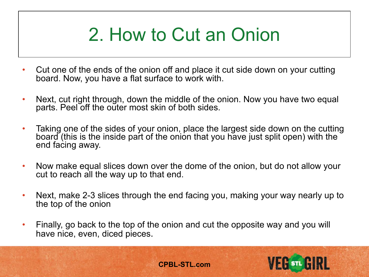## 2. How to Cut an Onion

- Cut one of the ends of the onion off and place it cut side down on your cutting board. Now, you have a flat surface to work with.
- Next, cut right through, down the middle of the onion. Now you have two equal parts. Peel off the outer most skin of both sides.
- Taking one of the sides of your onion, place the largest side down on the cutting board (this is the inside part of the onion that you have just split open) with the end facing away.
- Now make equal slices down over the dome of the onion, but do not allow your cut to reach all the way up to that end.
- Next, make 2-3 slices through the end facing you, making your way nearly up to the top of the onion
- Finally, go back to the top of the onion and cut the opposite way and you will have nice, even, diced pieces.

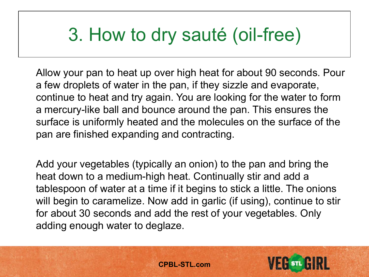### 3. How to dry sauté (oil-free)

Allow your pan to heat up over high heat for about 90 seconds. Pour a few droplets of water in the pan, if they sizzle and evaporate, continue to heat and try again. You are looking for the water to form a mercury-like ball and bounce around the pan. This ensures the surface is uniformly heated and the molecules on the surface of the pan are finished expanding and contracting.

Add your vegetables (typically an onion) to the pan and bring the heat down to a medium-high heat. Continually stir and add a tablespoon of water at a time if it begins to stick a little. The onions will begin to caramelize. Now add in garlic (if using), continue to stir for about 30 seconds and add the rest of your vegetables. Only adding enough water to deglaze.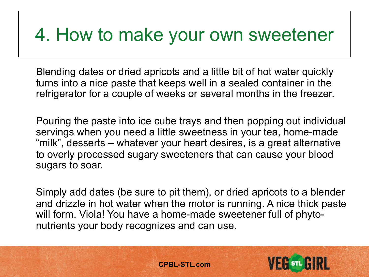### 4. How to make your own sweetener

Blending dates or dried apricots and a little bit of hot water quickly turns into a nice paste that keeps well in a sealed container in the refrigerator for a couple of weeks or several months in the freezer.

Pouring the paste into ice cube trays and then popping out individual servings when you need a little sweetness in your tea, home-made "milk", desserts – whatever your heart desires, is a great alternative to overly processed sugary sweeteners that can cause your blood sugars to soar.

Simply add dates (be sure to pit them), or dried apricots to a blender and drizzle in hot water when the motor is running. A nice thick paste will form. Viola! You have a home-made sweetener full of phytonutrients your body recognizes and can use.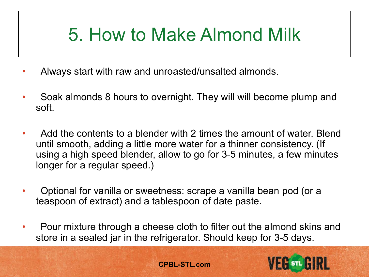### 5. How to Make Almond Milk

- Always start with raw and unroasted/unsalted almonds.
- Soak almonds 8 hours to overnight. They will will become plump and soft.
- Add the contents to a blender with 2 times the amount of water. Blend until smooth, adding a little more water for a thinner consistency. (If using a high speed blender, allow to go for 3-5 minutes, a few minutes longer for a regular speed.)
- Optional for vanilla or sweetness: scrape a vanilla bean pod (or a teaspoon of extract) and a tablespoon of date paste.
- Pour mixture through a cheese cloth to filter out the almond skins and store in a sealed jar in the refrigerator. Should keep for 3-5 days.

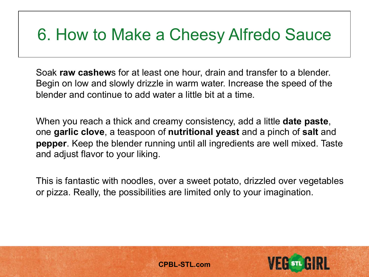### 6. How to Make a Cheesy Alfredo Sauce

Soak **raw cashew**s for at least one hour, drain and transfer to a blender. Begin on low and slowly drizzle in warm water. Increase the speed of the blender and continue to add water a little bit at a time.

When you reach a thick and creamy consistency, add a little **date paste**, one **garlic clove**, a teaspoon of **nutritional yeast** and a pinch of **salt** and **pepper**. Keep the blender running until all ingredients are well mixed. Taste and adjust flavor to your liking.

This is fantastic with noodles, over a sweet potato, drizzled over vegetables or pizza. Really, the possibilities are limited only to your imagination.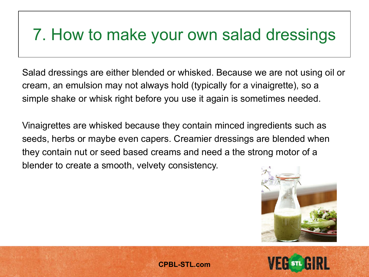### 7. How to make your own salad dressings

Salad dressings are either blended or whisked. Because we are not using oil or cream, an emulsion may not always hold (typically for a vinaigrette), so a simple shake or whisk right before you use it again is sometimes needed.

Vinaigrettes are whisked because they contain minced ingredients such as seeds, herbs or maybe even capers. Creamier dressings are blended when they contain nut or seed based creams and need a the strong motor of a blender to create a smooth, velvety consistency.



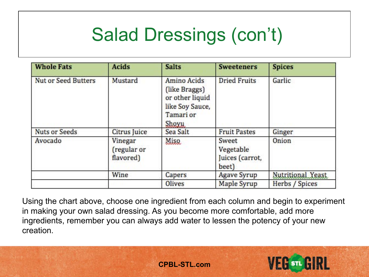## Salad Dressings (con't)

| <b>Whole Fats</b>          | <b>Acids</b>                        | <b>Salts</b>                                                                             | <b>Sweeteners</b>                              | <b>Spices</b>     |
|----------------------------|-------------------------------------|------------------------------------------------------------------------------------------|------------------------------------------------|-------------------|
| <b>Nut or Seed Butters</b> | Mustard                             | Amino Acids<br>(like Braggs)<br>or other liquid<br>like Soy Sauce,<br>Tamari or<br>Shoyu | <b>Dried Fruits</b>                            | Garlic            |
| <b>Nuts or Seeds</b>       | Citrus Juice                        | Sea Salt                                                                                 | <b>Fruit Pastes</b>                            | Ginger            |
| Avocado                    | Vinegar<br>(regular or<br>flavored) | Misq                                                                                     | Sweet<br>Vegetable<br>Juices (carrot,<br>beet) | Onion             |
|                            | Wine                                | Capers                                                                                   | <b>Agave Syrup</b>                             | Nutritional Yeast |
|                            |                                     | Olives                                                                                   | Maple Syrup                                    | Herbs / Spices    |

Using the chart above, choose one ingredient from each column and begin to experiment in making your own salad dressing. As you become more comfortable, add more ingredients, remember you can always add water to lessen the potency of your new creation.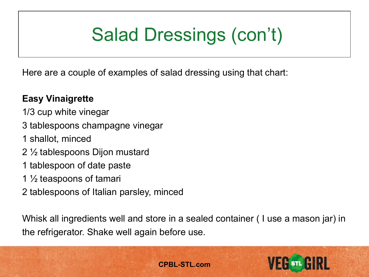# Salad Dressings (con't)

Here are a couple of examples of salad dressing using that chart:

#### **Easy Vinaigrette**

- 1/3 cup white vinegar
- 3 tablespoons champagne vinegar
- 1 shallot, minced
- 2 ½ tablespoons Dijon mustard
- 1 tablespoon of date paste
- 1  $\frac{1}{2}$  teaspoons of tamari
- 2 tablespoons of Italian parsley, minced

Whisk all ingredients well and store in a sealed container ( I use a mason jar) in the refrigerator. Shake well again before use.

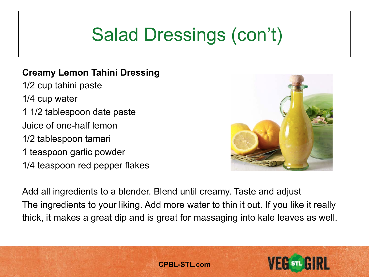## Salad Dressings (con't)

#### **Creamy Lemon Tahini Dressing**

1/2 cup tahini paste 1/4 cup water

1 1/2 tablespoon date paste

Juice of one-half lemon

1/2 tablespoon tamari

1 teaspoon garlic powder

1/4 teaspoon red pepper flakes



Add all ingredients to a blender. Blend until creamy. Taste and adjust The ingredients to your liking. Add more water to thin it out. If you like it really thick, it makes a great dip and is great for massaging into kale leaves as well.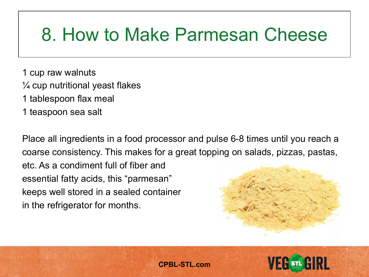### 8. How to Make Parmesan Cheese

- 1 cup raw walnuts
- $\frac{1}{4}$  cup nutritional yeast flakes
- 1 tablespoon flax meal
- 1 teaspoon sea salt

Place all ingredients in a food processor and pulse 6-8 times until you reach a coarse consistency. This makes for a great topping on salads, pizzas, pastas, etc. As a condiment full of fiber and essential fatty acids, this "parmesan" keeps well stored in a sealed container in the refrigerator for months.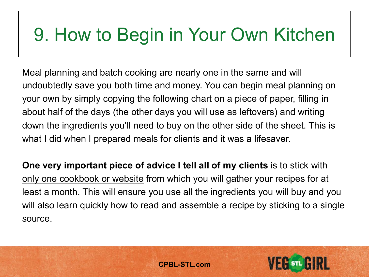Meal planning and batch cooking are nearly one in the same and will undoubtedly save you both time and money. You can begin meal planning on your own by simply copying the following chart on a piece of paper, filling in about half of the days (the other days you will use as leftovers) and writing down the ingredients you'll need to buy on the other side of the sheet. This is what I did when I prepared meals for clients and it was a lifesaver.

**One very important piece of advice I tell all of my clients** is to stick with only one cookbook or website from which you will gather your recipes for at least a month. This will ensure you use all the ingredients you will buy and you will also learn quickly how to read and assemble a recipe by sticking to a single source.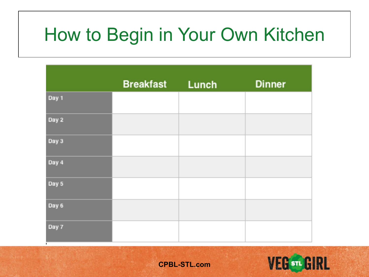|       | <b>Breakfast</b> | Lunch | <b>Dinner</b> |
|-------|------------------|-------|---------------|
| Day 1 |                  |       |               |
| Day 2 |                  |       |               |
| Day 3 |                  |       |               |
| Day 4 |                  |       |               |
| Day 5 |                  |       |               |
| Day 6 |                  |       |               |
| Day 7 |                  |       |               |

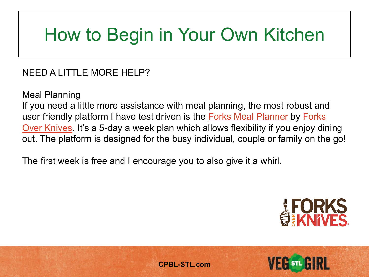#### NEED A LITTLE MORE HELP?

Meal Planning

If you need a little more assistance with meal planning, the most robust and user friendly platform I have test driven is the [Forks Meal Planner](https://www.forksmealplanner.com/%23!/plan) by Forks [Over Knives. It's a 5-day a week plan which allows flexibility if you enjoy din](https://www.forksoverknives.com/)ing out. The platform is designed for the busy individual, couple or family on the go!

The first week is free and I encourage you to also give it a whirl.

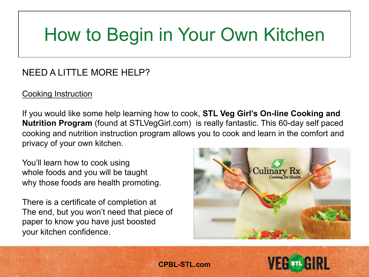#### NEED A LITTLE MORE HELP?

#### Cooking Instruction

If you would like some help learning how to cook, **STL Veg Girl's On-line Cooking and Nutrition Program** (found at STLVegGirl.com) is really fantastic. This 60-day self paced cooking and nutrition instruction program allows you to cook and learn in the comfort and privacy of your own kitchen.

You'll learn how to cook using whole foods and you will be taught why those foods are health promoting.

There is a certificate of completion at The end, but you won't need that piece of paper to know you have just boosted your kitchen confidence.



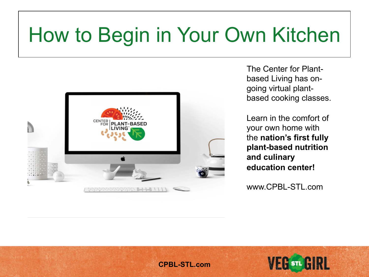

The Center for Plantbased Living has ongoing virtual plantbased cooking classes.

Learn in the comfort of your own home with the **nation's first fully plant-based nutrition and culinary education center!**

www.CPBL-STL.com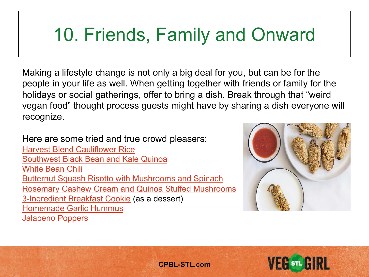## 10. Friends, Family and Onward

Making a lifestyle change is not only a big deal for you, but can be for the people in your life as well. When getting together with friends or family for the holidays or social gatherings, offer to bring a dish. Break through that "weird vegan food" thought process guests might have by sharing a dish everyone will recognize.

Here are some tried and true crowd pleasers:

[Harvest Blend Cauliflower Rice](http://stlveggirl.com/recipes/harvest-blend-cauliflower-rice-stuffed-acorn-squash/) [Southwest Black Bean and Kale Quinoa](http://stlveggirl.com/recipes/southwest-black-bean-and-kale-quinoa/) [White Bean Chili](http://stlveggirl.com/recipes/white-bean-chili/) [Butternut Squash Risotto with Mushrooms and Spinach](http://stlveggirl.com/recipes/butternut-squash-risotto-mushrooms-and-spinach/) [Rosemary Cashew Cream and Quinoa Stuffed Mushrooms](http://stlveggirl.com/recipes/rosemary-cashew-cream-and-tri-colored-quinoa-stuffed-mushrooms/) [3-Ingredient Breakfast Cookie](http://stlveggirl.com/recipes/3-ingredient-breakfast-cookie/) (as a dessert) [Homemade Garlic Hummus](http://stlveggirl.com/recipes/stlveggirl-oil-free-garlic-hummus/) [Jalapeno Poppers](http://stlveggirl.com/recipes/hummus-stuffed-baked-jalapeno-poppers/)